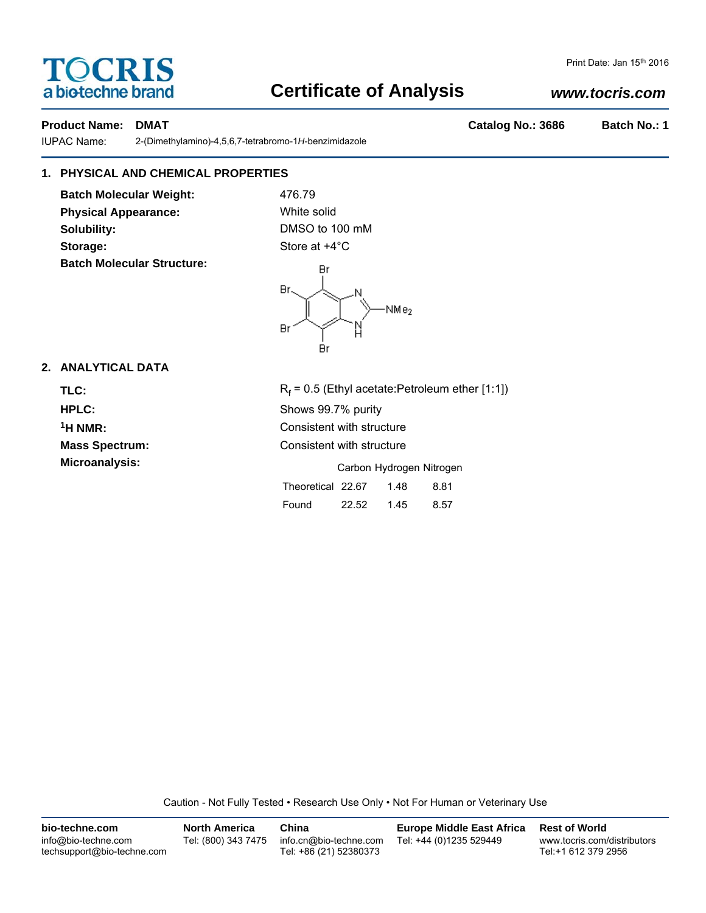# **TOCRIS** a biotechne brand

# **Certificate of Analysis**

## *www.tocris.com*

Print Date: Jan 15th 2016

### **Product Name: DMAT Catalog No.: 3686 Batch No.: 1**

IUPAC Name: 2-(Dimethylamino)-4,5,6,7-tetrabromo-1*H*-benzimidazole

## **1. PHYSICAL AND CHEMICAL PROPERTIES**

**Batch Molecular Weight:** 476.79 **Physical Appearance:** White solid **Solubility:** DMSO to 100 mM Storage: Store at  $+4^{\circ}$ C **Batch Molecular Structure:**



## **2. ANALYTICAL DATA**

TLC: R<sub>f</sub>

 $R_f$  = 0.5 (Ethyl acetate:Petroleum ether [1:1]) **HPLC:** Shows 99.7% purity **1H NMR:** Consistent with structure **Mass Spectrum:** Consistent with structure **Microanalysis:** Microanalysis: Exercise 2012 Carbon Hydrogen Nitrogen Theoretical 22.67 1.48 8.81 Found 22.52 1.45 8.57

Caution - Not Fully Tested • Research Use Only • Not For Human or Veterinary Use

| bio-techne.com                                    | <b>North America</b> | China                                            | <b>Europe Middle East Africa</b> | <b>Rest of World</b>                               |
|---------------------------------------------------|----------------------|--------------------------------------------------|----------------------------------|----------------------------------------------------|
| info@bio-techne.com<br>techsupport@bio-techne.com | Tel: (800) 343 7475  | info.cn@bio-techne.com<br>Tel: +86 (21) 52380373 | Tel: +44 (0)1235 529449          | www.tocris.com/distributors<br>Tel:+1 612 379 2956 |